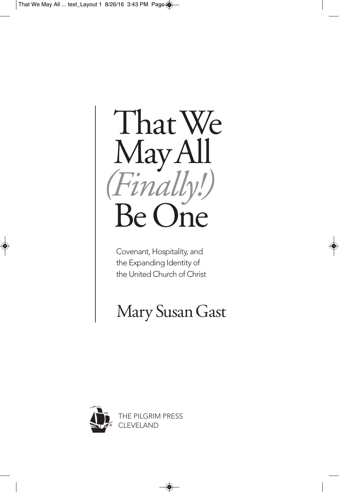

Covenant, Hospitality, and the Expanding Identity of the United Church of Christ

# Mary SusanGast

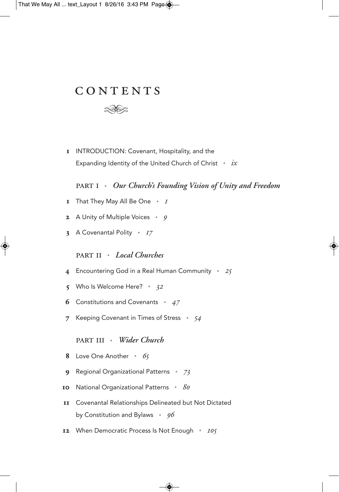# CONTENTS



I INTRODUCTION: Covenant, Hospitality, and the Expanding Identity of the United Church of Christ . *ix*

. *Our Church's Founding Vision of Unity and Freedom*

- **I** That They May All Be One  $\cdot$  I
- **2** A Unity of Multiple Voices  $\cdot$  9
- **3** A Covenantal Polity  $\cdot$  17

. *Local Churches*

- 4 Encountering God in a Real Human Community . 25
- 5 Who Is Welcome Here?  $\cdot$  32
- **6** Constitutions and Covenants  $\cdot$  47
- 7 Keeping Covenant in Times of Stress  $\cdot$  54

#### . *Wider Church*

- 8 Love One Another  $\cdot$  65
- **9** Regional Organizational Patterns  $\cdot$  73
- 10 National Organizational Patterns  $\cdot$  80
- Covenantal Relationships Delineated but Not Dictated by Constitution and Bylaws  $\cdot$  96
- 12 When Democratic Process Is Not Enough  $\cdot$  105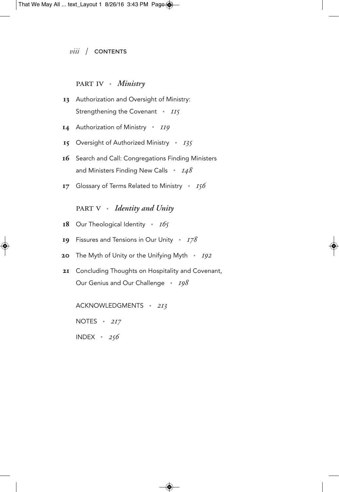#### PART IV · *Ministry*

- 13 Authorization and Oversight of Ministry: Strengthening the Covenant  $\cdot$  IIS
- 14 Authorization of Ministry . II9
- 15 Oversight of Authorized Ministry  $\cdot$  135
- 16 Search and Call: Congregations Finding Ministers and Ministers Finding New Calls  $\cdot$  148
- 17 Glossary of Terms Related to Ministry  $\cdot$  156

. *Identity and Unity*

- 18 Our Theological Identity  $\cdot$  165
- 19 Fissures and Tensions in Our Unity  $\cdot$  178
- 20 The Myth of Unity or the Unifying Myth  $\cdot$  192
- 21 Concluding Thoughts on Hospitality and Covenant, Our Genius and Our Challenge . 198

ACKNOWLEDGMENTS . 213

NOTES  $\cdot$  217

INDEX  $\cdot$  256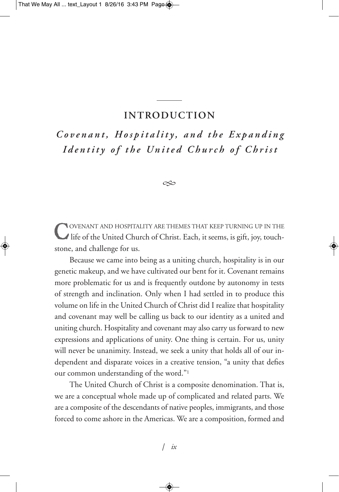#### **INTRODUCTION**

Covenant, Hospitality, and the Expanding Identity of the United Church of Christ

 $\infty$ 

COVENANT AND HOSPITALITY ARE THEMES THAT KEEP TURNING UP IN THE<br>life of the United Church of Christ. Each, it seems, is gift, joy, touchstone, and challenge for us.

Because we came into being as a uniting church, hospitality is in our genetic makeup, and we have cultivated our bent for it. Covenant remains more problematic for us and is frequently outdone by autonomy in tests of strength and inclination. Only when I had settled in to produce this volume on life in the United Church of Christ did I realize that hospitality and covenant may well be calling us back to our identity as a united and uniting church. Hospitality and covenant may also carry us forward to new expressions and applications of unity. One thing is certain. For us, unity will never be unanimity. Instead, we seek a unity that holds all of our independent and disparate voices in a creative tension, "a unity that defies our common understanding of the word."1

The United Church of Christ is a composite denomination. That is, we are a conceptual whole made up of complicated and related parts. We are a composite of the descendants of native peoples, immigrants, and those forced to come ashore in the Americas. We are a composition, formed and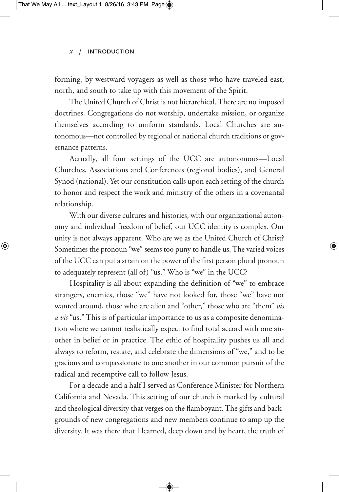#### *x* / IntroduCtIon

forming, by westward voyagers as well as those who have traveled east, north, and south to take up with this movement of the Spirit.

The United Church of Christ is not hierarchical.There are no imposed doctrines. Congregations do not worship, undertake mission, or organize themselves according to uniform standards. Local Churches are autonomous—not controlled by regional or national church traditions or governance patterns.

Actually, all four settings of the UCC are autonomous—Local Churches, Associations and Conferences (regional bodies), and General Synod (national). Yet our constitution calls upon each setting of the church to honor and respect the work and ministry of the others in a covenantal relationship.

With our diverse cultures and histories, with our organizational autonomy and individual freedom of belief, our UCC identity is complex. Our unity is not always apparent. Who are we as the United Church of Christ? Sometimes the pronoun "we" seems too puny to handle us. The varied voices of the UCC can put a strain on the power of the first person plural pronoun to adequately represent (all of) "us." Who is "we" in the UCC?

Hospitality is all about expanding the definition of "we" to embrace strangers, enemies, those "we" have not looked for, those "we" have not wanted around, those who are alien and "other," those who are "them" *vis a vis* "us." This is of particular importance to us as a composite denomination where we cannot realistically expect to find total accord with one another in belief or in practice. The ethic of hospitality pushes us all and always to reform, restate, and celebrate the dimensions of "we," and to be gracious and compassionate to one another in our common pursuit of the radical and redemptive call to follow Jesus.

For a decade and a half I served as Conference Minister for Northern California and Nevada. This setting of our church is marked by cultural and theological diversity that verges on the flamboyant.The gifts and backgrounds of new congregations and new members continue to amp up the diversity. It was there that I learned, deep down and by heart, the truth of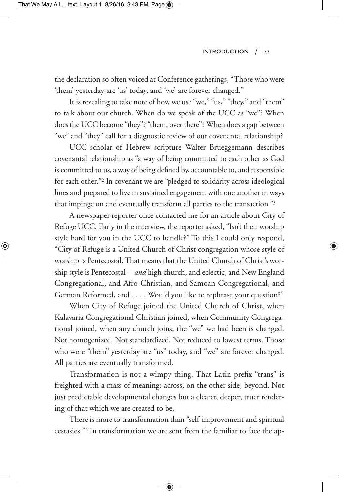the declaration so often voiced at Conference gatherings, "Those who were 'them' yesterday are 'us' today, and 'we' are forever changed."

It is revealing to take note of how we use "we," "us," "they," and "them" to talk about our church. When do we speak of the UCC as "we"? When does the UCC become "they"? "them, over there"? When does a gap between "we" and "they" call for a diagnostic review of our covenantal relationship?

UCC scholar of Hebrew scripture Walter Brueggemann describes covenantal relationship as "a way of being committed to each other as God is committed to us, a way of being defined by, accountable to, and responsible for each other."2 In covenant we are "pledged to solidarity across ideological lines and prepared to live in sustained engagement with one another in ways that impinge on and eventually transform all parties to the transaction."3

A newspaper reporter once contacted me for an article about City of Refuge UCC. Early in the interview, the reporter asked, "Isn't their worship style hard for you in the UCC to handle?" To this I could only respond, "City of Refuge is a United Church of Christ congregation whose style of worship is Pentecostal.That means that the United Church of Christ's worship style is Pentecostal—*and* high church, and eclectic, and New England Congregational, and Afro-Christian, and Samoan Congregational, and German Reformed, and . . . . Would you like to rephrase your question?"

When City of Refuge joined the United Church of Christ, when Kalavaria Congregational Christian joined, when Community Congregational joined, when any church joins, the "we" we had been is changed. Not homogenized. Not standardized. Not reduced to lowest terms. Those who were "them" yesterday are "us" today, and "we" are forever changed. All parties are eventually transformed.

Transformation is not a wimpy thing. That Latin prefix "trans" is freighted with a mass of meaning: across, on the other side, beyond. Not just predictable developmental changes but a clearer, deeper, truer rendering of that which we are created to be.

There is more to transformation than "self-improvement and spiritual ecstasies."4 In transformation we are sent from the familiar to face the ap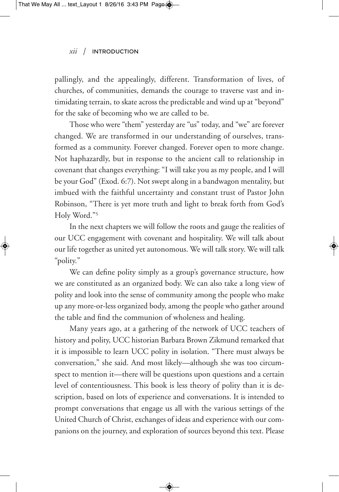pallingly, and the appealingly, different. Transformation of lives, of churches, of communities, demands the courage to traverse vast and intimidating terrain, to skate across the predictable and wind up at "beyond" for the sake of becoming who we are called to be.

Those who were "them" yesterday are "us" today, and "we" are forever changed. We are transformed in our understanding of ourselves, transformed as a community. Forever changed. Forever open to more change. Not haphazardly, but in response to the ancient call to relationship in covenant that changes everything: "I will take you as my people, and I will be your God" (Exod. 6:7). Not swept along in a bandwagon mentality, but imbued with the faithful uncertainty and constant trust of Pastor John Robinson, "There is yet more truth and light to break forth from God's Holy Word."5

In the next chapters we will follow the roots and gauge the realities of our UCC engagement with covenant and hospitality. We will talk about our life together as united yet autonomous. We will talk story. We will talk "polity."

We can define polity simply as a group's governance structure, how we are constituted as an organized body. We can also take a long view of polity and look into the sense of community among the people who make up any more-or-less organized body, among the people who gather around the table and find the communion of wholeness and healing.

Many years ago, at a gathering of the network of UCC teachers of history and polity, UCC historian Barbara Brown Zikmund remarked that it is impossible to learn UCC polity in isolation. "There must always be conversation," she said. And most likely—although she was too circumspect to mention it—there will be questions upon questions and a certain level of contentiousness. This book is less theory of polity than it is description, based on lots of experience and conversations. It is intended to prompt conversations that engage us all with the various settings of the United Church of Christ, exchanges of ideas and experience with our companions on the journey, and exploration of sources beyond this text. Please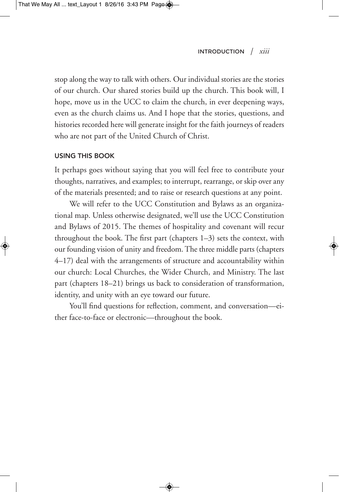stop along the way to talk with others. Our individual stories are the stories of our church. Our shared stories build up the church. This book will, I hope, move us in the UCC to claim the church, in ever deepening ways, even as the church claims us. And I hope that the stories, questions, and histories recorded here will generate insight for the faith journeys of readers who are not part of the United Church of Christ.

#### **USING THIS BOOK**

It perhaps goes without saying that you will feel free to contribute your thoughts, narratives, and examples; to interrupt, rearrange, or skip over any of the materials presented; and to raise or research questions at any point.

We will refer to the UCC Constitution and Bylaws as an organizational map. Unless otherwise designated, we'll use the UCC Constitution and Bylaws of 2015. The themes of hospitality and covenant will recur throughout the book. The first part (chapters 1–3) sets the context, with our founding vision of unity and freedom.The three middle parts (chapters 4–17) deal with the arrangements of structure and accountability within our church: Local Churches, the Wider Church, and Ministry. The last part (chapters 18–21) brings us back to consideration of transformation, identity, and unity with an eye toward our future.

You'll find questions for reflection, comment, and conversation—either face-to-face or electronic—throughout the book.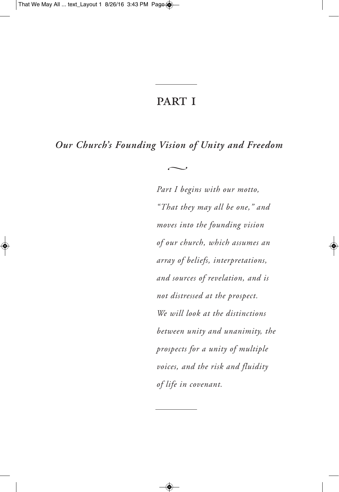## **PART I**

*Our Church's Founding Vision of Unity and Freedom*

 $\sim$ 

*Part I begins with our motto, "That they may all be one," and moves into the founding vision of our church, which assumes an array of beliefs, interpretations, and sources of revelation, and is not distressed at the prospect. We will look at the distinctions between unity and unanimity, the prospects for a unity of multiple voices, and the risk and fluidity of life in covenant.*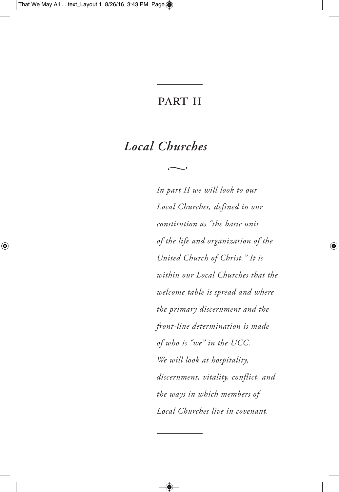# **PART II**

 $\sim$ 

# *Local Churches*

*In part II we will look to our Local Churches, defined in our constitution as "the basic unit of the life and organization of the United Church of Christ." It is within our Local Churches that the welcome table is spread and where the primary discernment and the front-line determination is made of who is "we" in the UCC. We will look at hospitality, discernment, vitality, conflict, and the ways in which members of Local Churches live in covenant.*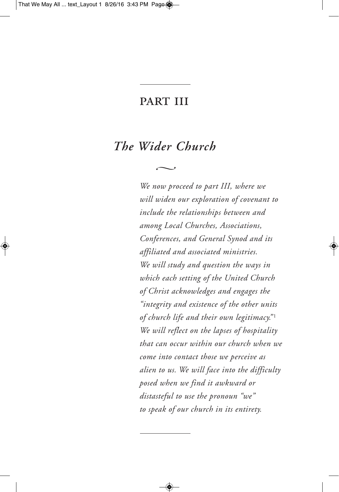### **PART III**

# *The Wider Church*

 $\sim$ 

*We now proceed to part III, where we will widen our exploration of covenant to include the relationships between and among Local Churches, Associations, Conferences, and General Synod and its affiliated and associated ministries. We will study and question the ways in which each setting of the United Church of Christ acknowledges and engages the "integrity and existence of the other units of church life and their own legitimacy."* <sup>1</sup> *We will reflect on the lapses of hospitality that can occur within our church when we come into contact those we perceive as alien to us. We will face into the difficulty posed when we find it awkward or distasteful to use the pronoun "we" to speak of our church in its entirety.*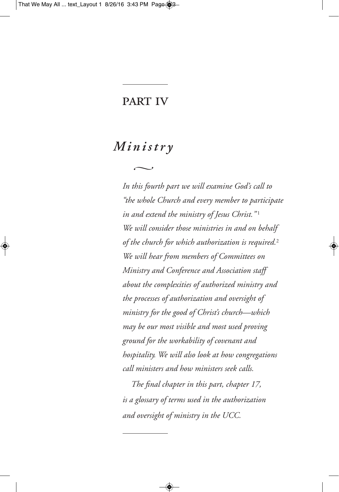### **PART IV**

## *Mi n i stry*

 $\sim$ 

*In this fourth part we will examine God's call to "the whole Church and every member to participate in and extend the ministry of Jesus Christ."* <sup>1</sup> *We will consider those ministries in and on behalf of the church for which authorization is required.* 2 *We will hear from members of Committees on Ministry and Conference and Association staff about the complexities of authorized ministry and the processes of authorization and oversight of ministry for the good of Christ's church—which may be our most visible and most used proving ground for the workability of covenant and hospitality. We will also look at how congregations call ministers and how ministers seek calls.*

*The final chapter in this part, chapter 17, is a glossary of terms used in the authorization and oversight of ministry in the UCC.*